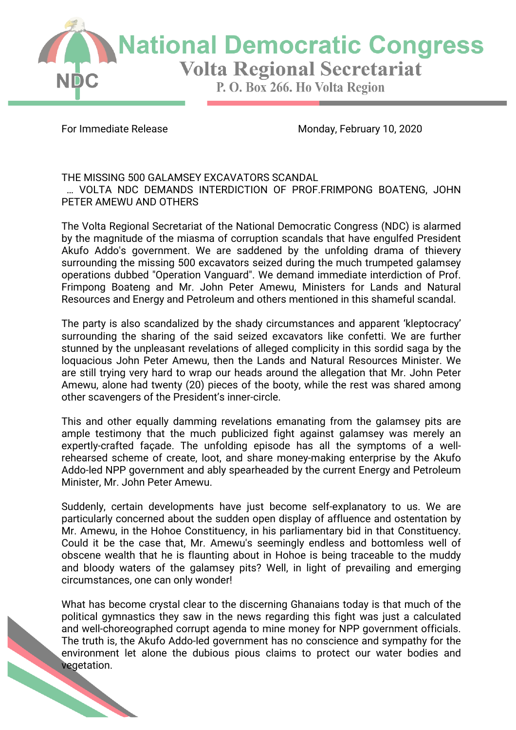

For Immediate Release Monday, February 10, 2020

THE MISSING 500 GALAMSEY EXCAVATORS SCANDAL ... VOLTA NDC DEMANDS INTERDICTION OF PROF.FRIMPONG BOATENG, JOHN PETER AMEWU AND OTHERS

The Volta Regional Secretariat of the National Democratic Congress (NDC) is alarmed by the magnitude of the miasma of corruption scandals that have engulfed President Akufo Addo's government. We are saddened by the unfolding drama of thievery surrounding the missing 500 excavators seized during the much trumpeted galamsey operations dubbed "Operation Vanguard". We demand immediate interdiction of Prof. Frimpong Boateng and Mr. John Peter Amewu, Ministers for Lands and Natural Resources and Energy and Petroleum and others mentioned in this shameful scandal.

The party is also scandalized by the shady circumstances and apparent 'kleptocracy' surrounding the sharing of the said seized excavators like confetti. We are further stunned by the unpleasant revelations of alleged complicity in this sordid saga by the loquacious John Peter Amewu, then the Lands and Natural Resources Minister. We are still trying very hard to wrap our heads around the allegation that Mr. John Peter Amewu, alone had twenty (20) pieces of the booty, while the rest was shared among other scavengers of the President's inner-circle.

This and other equally damming revelations emanating from the galamsey pits are ample testimony that the much publicized fight against galamsey was merely an expertly-crafted façade. The unfolding episode has all the symptoms of a wellrehearsed scheme of create, loot, and share money-making enterprise by the Akufo Addo-led NPP government and ably spearheaded by the current Energy and Petroleum Minister, Mr. John Peter Amewu.

Suddenly, certain developments have just become self-explanatory to us. We are particularly concerned about the sudden open display of affluence and ostentation by Mr. Amewu, in the Hohoe Constituency, in his parliamentary bid in that Constituency. Could it be the case that, Mr. Amewu's seemingly endless and bottomless well of obscene wealth that he is flaunting about in Hohoe is being traceable to the muddy and bloody waters of the galamsey pits? Well, in light of prevailing and emerging circumstances, one can only wonder!

What has become crystal clear to the discerning Ghanaians today is that much of the political gymnastics they saw in the news regarding this fight was just a calculated and well-choreographed corrupt agenda to mine money for NPP government officials. The truth is, the Akufo Addo-led government has no conscience and sympathy for the environment let alone the dubious pious claims to protect our water bodies and vegetation.